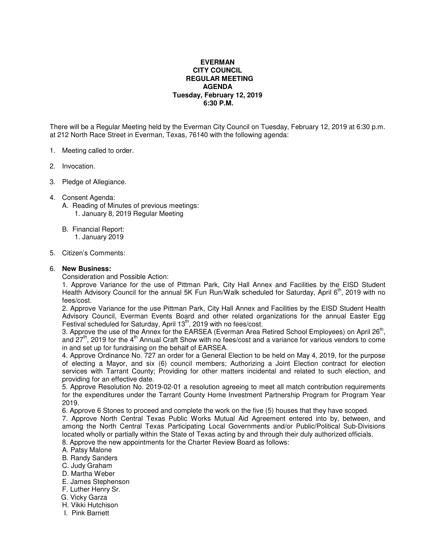## **EVERMAN CITY COUNCIL REGULAR MEETING AGENDA Tuesday, February 12, 2019 6:30 P.M.**

There will be a Regular Meeting held by the Everman City Council on Tuesday, February 12, 2019 at 6:30 p.m. at 212 North Race Street in Everman, Texas, 76140 with the following agenda:

- 1. Meeting called to order.
- 2. Invocation.
- 3. Pledge of Allegiance.
- 4. Consent Agenda:
	- A. Reading of Minutes of previous meetings: 1. January 8, 2019 Regular Meeting
	- B. Financial Report: 1. January 2019
- 5. Citizen's Comments:

## 6. **New Business:**

Consideration and Possible Action:

1. Approve Variance for the use of Pittman Park, City Hall Annex and Facilities by the EISD Student Health Advisory Council for the annual 5K Fun Run/Walk scheduled for Saturday, April  $6<sup>th</sup>$ , 2019 with no fees/cost.

2. Approve Variance for the use Pittman Park, City Hall Annex and Facilities by the EISD Student Health Advisory Council, Everman Events Board and other related organizations for the annual Easter Egg Festival scheduled for Saturday, April 13<sup>th</sup>, 2019 with no fees/cost.

3. Approve the use of the Annex for the EARSEA (Everman Area Retired School Employees) on April 26<sup>th</sup>, and 27<sup>th</sup>, 2019 for the 4<sup>th</sup> Annual Craft Show with no fees/cost and a variance for various vendors to come in and set up for fundraising on the behalf of EARSEA.

4. Approve Ordinance No. 727 an order for a General Election to be held on May 4, 2019, for the purpose of electing a Mayor, and six (6) council members; Authorizing a Joint Election contract for election services with Tarrant County; Providing for other matters incidental and related to such election, and providing for an effective date.

5. Approve Resolution No. 2019-02-01 a resolution agreeing to meet all match contribution requirements for the expenditures under the Tarrant County Home Investment Partnership Program for Program Year 2019.

6. Approve 6 Stones to proceed and complete the work on the five (5) houses that they have scoped.

7. Approve North Central Texas Public Works Mutual Aid Agreement entered into by, between, and among the North Central Texas Participating Local Governments and/or Public/Political Sub-Divisions located wholly or partially within the State of Texas acting by and through their duly authorized officials. 8. Approve the new appointments for the Charter Review Board as follows:

- A. Patsy Malone
- B. Randy Sanders
- C. Judy Graham
- D. Martha Weber
- E. James Stephenson
- F. Luther Henry Sr.
- G. Vicky Garza
- H. Vikki Hutchison
- I. Pink Barnett